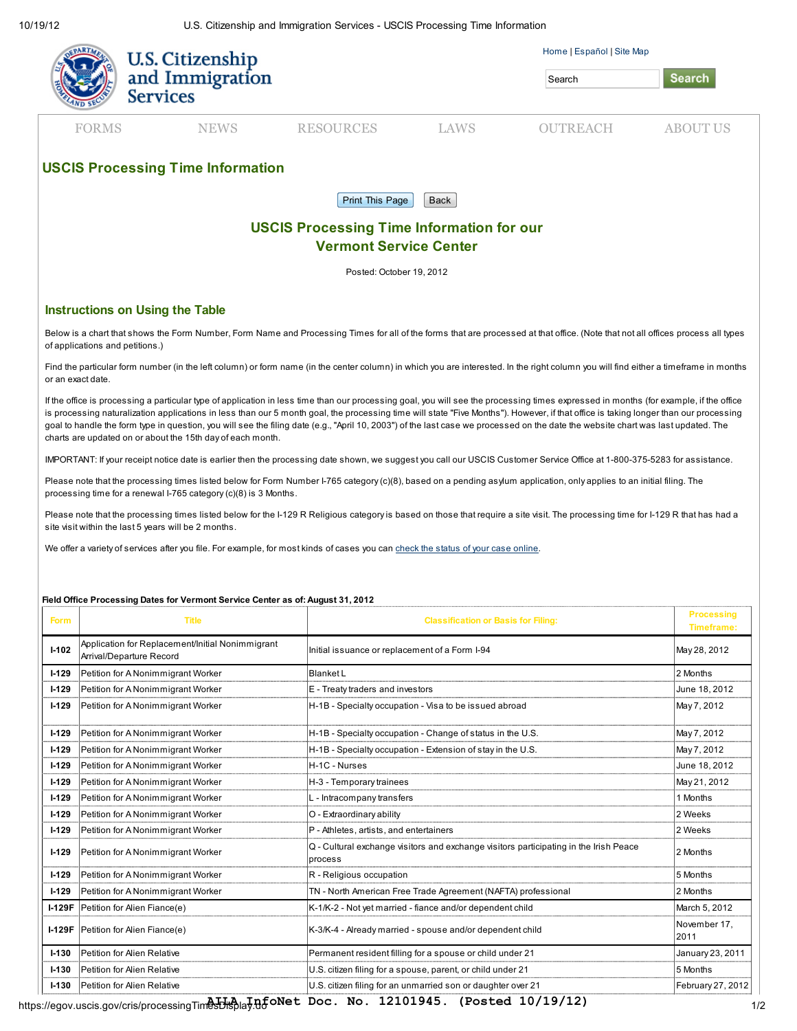10/19/12 U.S. Citizenship and Immigration Services - USCIS Processing Time Information

|                                                                                   | U.S. Citizenship<br>and Immigration<br><b>Services</b> |                  |             | Home   Español   Site Map<br>Search | <b>Search</b>   |  |  |  |
|-----------------------------------------------------------------------------------|--------------------------------------------------------|------------------|-------------|-------------------------------------|-----------------|--|--|--|
| <b>FORMS</b>                                                                      | <b>NEWS</b>                                            | <b>RESOURCES</b> | <b>LAWS</b> | <b>OUTREACH</b>                     | <b>ABOUT US</b> |  |  |  |
| <b>USCIS Processing Time Information</b><br><b>Print This Page</b><br>Back        |                                                        |                  |             |                                     |                 |  |  |  |
| <b>USCIS Processing Time Information for our</b><br><b>Vermont Service Center</b> |                                                        |                  |             |                                     |                 |  |  |  |

Posted: October 19, 2012

## Instructions on Using the Table

Below is a chart that shows the Form Number, Form Name and Processing Times for all of the forms that are processed at that office. (Note that not all offices process all types of applications and petitions.)

Find the particular form number (in the left column) or form name (in the center column) in which you are interested. In the right column you will find either a timeframe in months or an exact date.

If the office is processing a particular type of application in less time than our processing goal, you will see the processing times expressed in months (for example, if the office is processing naturalization applications in less than our 5 month goal, the processing time will state "Five Months"). However, if that office is taking longer than our processing goal to handle the form type in question, you will see the filing date (e.g., "April 10, 2003") of the last case we processed on the date the website chart was last updated. The charts are updated on or about the 15th day of each month.

IMPORTANT: If your receipt notice date is earlier then the processing date shown, we suggest you call our USCIS Customer Service Office at 1-800-375-5283 for assistance.

Please note that the processing times listed below for Form Number I-765 category (c)(8), based on a pending asylum application, only applies to an initial filing. The processing time for a renewal I-765 category (c)(8) is 3 Months.

Please note that the processing times listed below for the I-129 R Religious category is based on those that require a site visit. The processing time for I-129 R that has had a site visit within the last 5 years will be 2 months.

We offer a variety of services after you file. For example, for most kinds of cases you can [check the status of your case online.](https://egov.uscis.gov/cris/caseStatusSearchDisplay.do)

## Field Office Processing Dates for Vermont Service Center as of: August 31, 2012

| <b>Form</b> | <b>Title</b>                                                                 | <b>Classification or Basis for Filing:</b>                                                       | <b>Processing</b><br><b>Timeframe:</b> |
|-------------|------------------------------------------------------------------------------|--------------------------------------------------------------------------------------------------|----------------------------------------|
| $1 - 102$   | Application for Replacement/Initial Nonimmigrant<br>Arrival/Departure Record | Initial issuance or replacement of a Form I-94                                                   | May 28, 2012                           |
| $I-129$     | Petition for A Nonimmigrant Worker                                           | Blanket L                                                                                        | 2 Months                               |
| $I-129$     | Petition for A Nonimmigrant Worker                                           | E - Treaty traders and investors                                                                 | June 18, 2012                          |
| $I-129$     | Petition for A Nonimmigrant Worker                                           | H-1B - Specialty occupation - Visa to be issued abroad                                           | May 7, 2012                            |
| $1 - 129$   | Petition for A Nonimmigrant Worker                                           | H-1B - Specialty occupation - Change of status in the U.S.                                       | May 7, 2012                            |
| $I-129$     | Petition for A Nonimmigrant Worker                                           | H-1B - Specialty occupation - Extension of stay in the U.S.                                      | May 7, 2012                            |
| $I-129$     | Petition for A Nonimmigrant Worker                                           | H-1C - Nurses                                                                                    | June 18, 2012                          |
| $1 - 129$   | Petition for A Nonimmigrant Worker                                           | H-3 - Temporary trainees                                                                         | May 21, 2012                           |
| $1 - 129$   | Petition for A Nonimmigrant Worker                                           | L - Intracompany transfers                                                                       | 1 Months                               |
| $1 - 129$   | Petition for A Nonimmigrant Worker                                           | O - Extraordinary ability                                                                        | 2 Weeks                                |
| $I-129$     | Petition for A Nonimmigrant Worker                                           | P - Athletes, artists, and entertainers                                                          | 2 Weeks                                |
| $I-129$     | Petition for A Nonimmigrant Worker                                           | Q - Cultural exchange visitors and exchange visitors participating in the Irish Peace<br>process | 2 Months                               |
| $1 - 129$   | Petition for A Nonimmigrant Worker                                           | R - Religious occupation                                                                         | 5 Months                               |
| $1 - 129$   | Petition for A Nonimmigrant Worker                                           | TN - North American Free Trade Agreement (NAFTA) professional                                    | 2 Months                               |
| $I-129F$    | Petition for Alien Fiance(e)                                                 | K-1/K-2 - Not yet married - fiance and/or dependent child                                        | March 5, 2012                          |
|             | I-129F Petition for Alien Fiance(e)                                          | K-3/K-4 - Already married - spouse and/or dependent child                                        | November 17,<br>2011                   |
| $1 - 130$   | Petition for Alien Relative                                                  | Permanent resident filling for a spouse or child under 21                                        | January 23, 2011                       |
| $1 - 130$   | Petition for Alien Relative                                                  | U.S. citizen filing for a spouse, parent, or child under 21                                      | 5 Months                               |
| $I - 130$   | Petition for Alien Relative                                                  | U.S. citizen filing for an unmarried son or daughter over 21                                     | February 27, 2012                      |